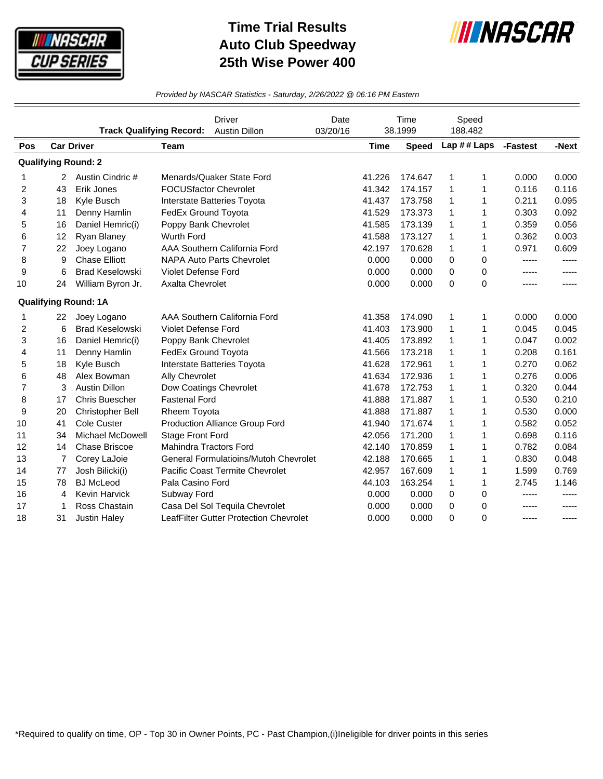

## **Time Trial Results Auto Club Speedway 25th Wise Power 400**



*Provided by NASCAR Statistics - Saturday, 2/26/2022 @ 06:16 PM Eastern*

|                |    | <b>Track Qualifying Record:</b> |                              | <b>Driver</b><br><b>Austin Dillon</b>        | Date<br>03/20/16 | Time<br>38.1999 |              | Speed<br>188.482 |       |             |             |
|----------------|----|---------------------------------|------------------------------|----------------------------------------------|------------------|-----------------|--------------|------------------|-------|-------------|-------------|
| Pos            |    | <b>Car Driver</b>               | <b>Team</b>                  |                                              |                  | <b>Time</b>     | <b>Speed</b> | Lap ## Laps      |       | -Fastest    | -Next       |
|                |    | <b>Qualifying Round: 2</b>      |                              |                                              |                  |                 |              |                  |       |             |             |
| 1              | 2  | Austin Cindric #                |                              | Menards/Quaker State Ford                    |                  | 41.226          | 174.647      | 1                | 1     | 0.000       | 0.000       |
| 2              | 43 | Erik Jones                      | <b>FOCUSfactor Chevrolet</b> |                                              |                  | 41.342          | 174.157      | 1                | 1     | 0.116       | 0.116       |
| 3              | 18 | Kyle Busch                      |                              | Interstate Batteries Toyota                  |                  | 41.437          | 173.758      | 1                | 1     | 0.211       | 0.095       |
| 4              | 11 | Denny Hamlin                    | FedEx Ground Toyota          |                                              |                  | 41.529          | 173.373      | $\mathbf{1}$     | 1     | 0.303       | 0.092       |
| 5              | 16 | Daniel Hemric(i)                | Poppy Bank Chevrolet         |                                              | 41.585           | 173.139         | 1            | 1                | 0.359 | 0.056       |             |
| 6              | 12 | Ryan Blaney                     | Wurth Ford                   |                                              |                  | 41.588          | 173.127      | 1                | 1     | 0.362       | 0.003       |
| 7              | 22 | Joey Logano                     |                              | AAA Southern California Ford                 |                  | 42.197          | 170.628      | 1                | 1     | 0.971       | 0.609       |
| 8              | 9  | <b>Chase Elliott</b>            |                              | <b>NAPA Auto Parts Chevrolet</b>             |                  | 0.000           | 0.000        | 0                | 0     | -----       | $- - - - -$ |
| 9              | 6  | <b>Brad Keselowski</b>          | <b>Violet Defense Ford</b>   |                                              |                  | 0.000           | 0.000        | 0                | 0     | -----       | -----       |
| 10             | 24 | William Byron Jr.               | <b>Axalta Chevrolet</b>      |                                              |                  | 0.000           | 0.000        | 0                | 0     | -----       | -----       |
|                |    | <b>Qualifying Round: 1A</b>     |                              |                                              |                  |                 |              |                  |       |             |             |
| 1              | 22 | Joey Logano                     |                              | AAA Southern California Ford                 |                  | 41.358          | 174.090      | 1                | 1     | 0.000       | 0.000       |
| 2              | 6  | <b>Brad Keselowski</b>          | <b>Violet Defense Ford</b>   |                                              |                  | 41.403          | 173.900      | 1                | 1     | 0.045       | 0.045       |
| 3              | 16 | Daniel Hemric(i)                | Poppy Bank Chevrolet         |                                              |                  | 41.405          | 173.892      | 1                | 1     | 0.047       | 0.002       |
| 4              | 11 | Denny Hamlin                    | FedEx Ground Toyota          |                                              |                  | 41.566          | 173.218      | 1                | 1     | 0.208       | 0.161       |
| 5              | 18 | Kyle Busch                      |                              | Interstate Batteries Toyota                  |                  | 41.628          | 172.961      | 1                | 1     | 0.270       | 0.062       |
| 6              | 48 | Alex Bowman                     | Ally Chevrolet               |                                              |                  | 41.634          | 172.936      | $\mathbf{1}$     | 1     | 0.276       | 0.006       |
| $\overline{7}$ | 3  | <b>Austin Dillon</b>            | Dow Coatings Chevrolet       |                                              |                  | 41.678          | 172.753      | 1                | 1     | 0.320       | 0.044       |
| 8              | 17 | Chris Buescher                  | <b>Fastenal Ford</b>         |                                              |                  | 41.888          | 171.887      | 1                | 1     | 0.530       | 0.210       |
| 9              | 20 | Christopher Bell                | Rheem Toyota                 |                                              |                  | 41.888          | 171.887      | 1                | 1     | 0.530       | 0.000       |
| 10             | 41 | Cole Custer                     |                              | Production Alliance Group Ford               |                  | 41.940          | 171.674      | 1                | 1     | 0.582       | 0.052       |
| 11             | 34 | Michael McDowell                | <b>Stage Front Ford</b>      |                                              |                  | 42.056          | 171.200      | 1                | 1     | 0.698       | 0.116       |
| 12             | 14 | <b>Chase Briscoe</b>            | Mahindra Tractors Ford       |                                              |                  | 42.140          | 170.859      | 1                | 1     | 0.782       | 0.084       |
| 13             | 7  | Corey LaJoie                    |                              | <b>General Formulatioins/Mutoh Chevrolet</b> |                  | 42.188          | 170.665      | 1                | 1     | 0.830       | 0.048       |
| 14             | 77 | Josh Bilicki(i)                 |                              | Pacific Coast Termite Chevrolet              |                  | 42.957          | 167.609      | 1                | 1     | 1.599       | 0.769       |
| 15             | 78 | <b>BJ</b> McLeod                | Pala Casino Ford             |                                              |                  | 44.103          | 163.254      | 1                | 1     | 2.745       | 1.146       |
| 16             | 4  | <b>Kevin Harvick</b>            | Subway Ford                  |                                              |                  | 0.000           | 0.000        | 0                | 0     | -----       |             |
| 17             | 1  | Ross Chastain                   |                              | Casa Del Sol Tequila Chevrolet               |                  | 0.000           | 0.000        | 0                | 0     |             | -----       |
| 18             | 31 | <b>Justin Haley</b>             |                              | LeafFilter Gutter Protection Chevrolet       |                  | 0.000           | 0.000        | $\Omega$         | 0     | $- - - - -$ | $- - - - -$ |